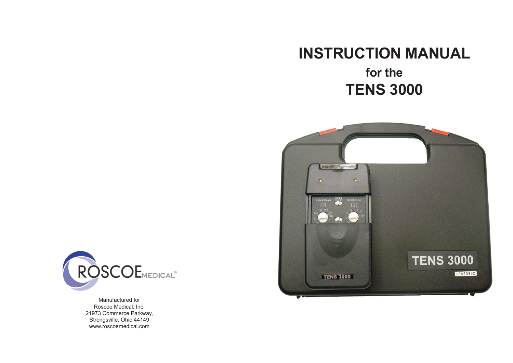# **INSTRUCTION MANUAL**

# **for the TENS 3000**





Manufactured for Roscoe Medical, Inc. 21973 Commerce Parkway, Strongsville, Ohio 44149 www.roscoemedical.com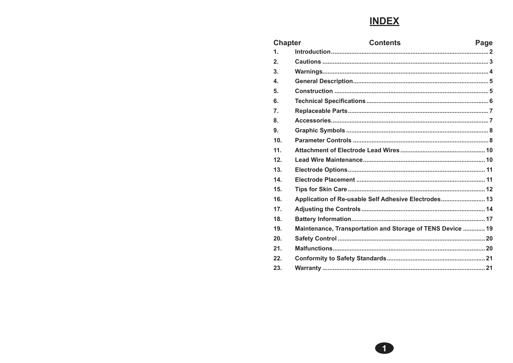# **INDEX**

| <b>Chapter</b>   | <b>Contents</b>                                            | Page |
|------------------|------------------------------------------------------------|------|
| $\mathbf 1$ .    |                                                            |      |
| 2.               |                                                            |      |
| 3 <sub>1</sub>   |                                                            |      |
| $\mathbf{4}$     |                                                            |      |
| 5.               |                                                            |      |
| 6.               |                                                            |      |
| $\overline{7}$ . |                                                            |      |
| 8.               |                                                            |      |
| 9.               |                                                            |      |
| 10 <sub>1</sub>  |                                                            |      |
| 11.              |                                                            |      |
| 12 <sub>1</sub>  |                                                            |      |
| 13.              |                                                            |      |
| 14.              |                                                            |      |
| 15.              |                                                            |      |
| 16.              | Application of Re-usable Self Adhesive Electrodes 13       |      |
| 17 <sub>1</sub>  |                                                            |      |
| 18.              |                                                            |      |
| 19.              | Maintenance, Transportation and Storage of TENS Device  19 |      |
| 20.              |                                                            |      |
| 21.              |                                                            |      |
| 22               |                                                            |      |
| 23.              |                                                            |      |

 $\bullet$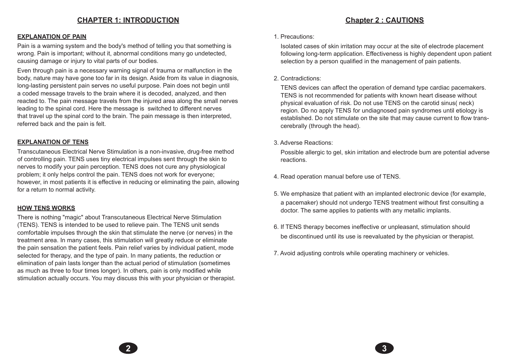## **CHAPTER 1: INTRODUCTION**

## **Chapter 2 : CAUTIONS**

### **EXPLANATION OF PAIN**

Pain is a warning system and the body's method of telling you that something is wrong. Pain is important; without it, abnormal conditions many go undetected, causing damage or injury to vital parts of our bodies.

Even through pain is a necessary warning signal of trauma or malfunction in the body, nature may have gone too far in its design. Aside from its value in diagnosis, long-lasting persistent pain serves no useful purpose. Pain does not begin until a coded message travels to the brain where it is decoded, analyzed, and then reacted to. The pain message travels from the injured area along the small nerves leading to the spinal cord. Here the message is switched to different nerves that travel up the spinal cord to the brain. The pain message is then interpreted, referred back and the pain is felt.

### **EXPLANATION OF TENS**

Transcutaneous Electrical Nerve Stimulation is a non-invasive, drug-free method of controlling pain. TENS uses tiny electrical impulses sent through the skin to nerves to modify your pain perception. TENS does not cure any physiological problem; it only helps control the pain. TENS does not work for everyone; however, in most patients it is effective in reducing or eliminating the pain, allowing for a return to normal activity.

### **HOW TENS WORKS**

There is nothing "magic" about Transcutaneous Electrical Nerve Stimulation (TENS). TENS is intended to be used to relieve pain. The TENS unit sends comfortable impulses through the skin that stimulate the nerve (or nerves) in the treatment area. In many cases, this stimulation will greatly reduce or eliminate the pain sensation the patient feels. Pain relief varies by individual patient, mode selected for therapy, and the type of pain. In many patients, the reduction or elimination of pain lasts longer than the actual period of stimulation (sometimes as much as three to four times longer). In others, pain is only modified while stimulation actually occurs. You may discuss this with your physician or therapist.

#### 1. Precautions:

Isolated cases of skin irritation may occur at the site of electrode placement following long-term application. Effectiveness is highly dependent upon patient selection by a person qualified in the management of pain patients.

### 2. Contradictions:

TENS devices can affect the operation of demand type cardiac pacemakers. TENS is not recommended for patients with known heart disease without physical evaluation of risk. Do not use TENS on the carotid sinus( neck) region. Do no apply TENS for undiagnosed pain syndromes until etiology is established. Do not stimulate on the site that may cause current to flow transcerebrally (through the head).

### 3. Adverse Reactions:

**2 3**

Possible allergic to gel, skin irritation and electrode bum are potential adverse reactions.

- 4. Read operation manual before use of TENS.
- 5. We emphasize that patient with an implanted electronic device (for example, a pacemaker) should not undergo TENS treatment without first consulting a doctor. The same applies to patients with any metallic implants.
- 6. If TENS therapy becomes ineffective or unpleasant, stimulation should be discontinued until its use is reevaluated by the physician or therapist.
- 7. Avoid adjusting controls while operating machinery or vehicles.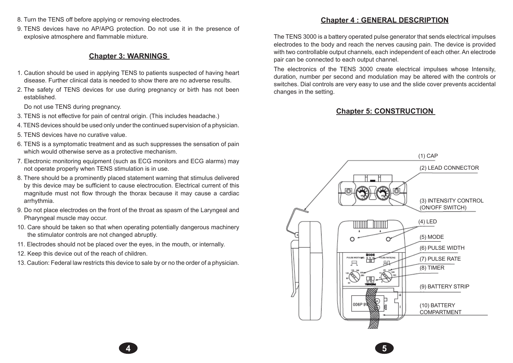- 8. Turn the TENS off before applying or removing electrodes.
- 9. TENS devices have no AP/APG protection. Do not use it in the presence of explosive atmosphere and flammable mixture.

## **Chapter 3: WARNINGS**

- 1. Caution should be used in applying TENS to patients suspected of having heart disease. Further clinical data is needed to show there are no adverse results.
- 2. The safety of TENS devices for use during pregnancy or birth has not been established.

Do not use TENS during pregnancy.

- 3. TENS is not effective for pain of central origin. (This includes headache.)
- 4. TENS devices should be used only under the continued supervision of a physician.
- 5. TENS devices have no curative value.
- 6. TENS is a symptomatic treatment and as such suppresses the sensation of pain which would otherwise serve as a protective mechanism.
- 7. Electronic monitoring equipment (such as ECG monitors and ECG alarms) may not operate properly when TENS stimulation is in use.
- 8. There should be a prominently placed statement warning that stimulus delivered by this device may be sufficient to cause electrocution. Electrical current of this magnitude must not flow through the thorax because it may cause a cardiac arrhythmia.
- 9. Do not place electrodes on the front of the throat as spasm of the Laryngeal and Pharyngeal muscle may occur.
- 10. Care should be taken so that when operating potentially dangerous machinery the stimulator controls are not changed abruptly.
- 11. Electrodes should not be placed over the eyes, in the mouth, or internally.
- 12. Keep this device out of the reach of children.
- 13. Caution: Federal law restricts this device to sale by or no the order of a physician.

**4 5**

## **Chapter 4 : GENERAL DESCRIPTION**

The TENS 3000 is a battery operated pulse generator that sends electrical impulses electrodes to the body and reach the nerves causing pain. The device is provided with two controllable output channels, each independent of each other. An electrode pair can be connected to each output channel.

The electronics of the TENS 3000 create electrical impulses whose Intensity, duration, number per second and modulation may be altered with the controls or switches. Dial controls are very easy to use and the slide cover prevents accidental changes in the setting.

## **Chapter 5: CONSTRUCTION**

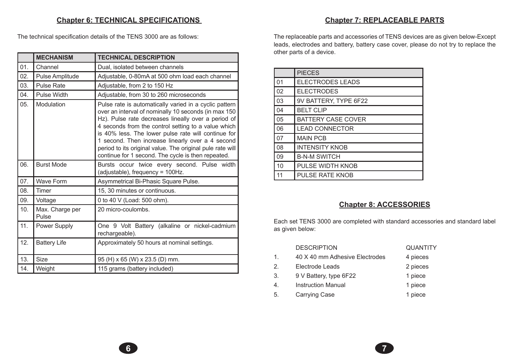## **Chapter 6: TECHNICAL SPECIFICATIONS**

The technical specification details of the TENS 3000 are as follows:

|     | <b>MECHANISM</b>         | <b>TECHNICAL DESCRIPTION</b>                                                                                                                                                                                                                                                                                                                                                                                                                               |
|-----|--------------------------|------------------------------------------------------------------------------------------------------------------------------------------------------------------------------------------------------------------------------------------------------------------------------------------------------------------------------------------------------------------------------------------------------------------------------------------------------------|
| 01. | Channel                  | Dual, isolated between channels                                                                                                                                                                                                                                                                                                                                                                                                                            |
| 02. | Pulse Amplitude          | Adjustable, 0-80mA at 500 ohm load each channel                                                                                                                                                                                                                                                                                                                                                                                                            |
| 03. | <b>Pulse Rate</b>        | Adjustable, from 2 to 150 Hz                                                                                                                                                                                                                                                                                                                                                                                                                               |
| 04. | <b>Pulse Width</b>       | Adjustable, from 30 to 260 microseconds                                                                                                                                                                                                                                                                                                                                                                                                                    |
| 05. | Modulation               | Pulse rate is automatically varied in a cyclic pattern<br>over an interval of nominally 10 seconds (in max 150<br>Hz). Pulse rate decreases lineally over a period of<br>4 seconds from the control setting to a value which<br>is 40% less. The lower pulse rate will continue for<br>1 second. Then increase linearly over a 4 second<br>period to its original value. The original pule rate will<br>continue for 1 second. The cycle is then repeated. |
| 06. | <b>Burst Mode</b>        | Bursts occur twice every second. Pulse width<br>(adjustable), frequency = 100Hz.                                                                                                                                                                                                                                                                                                                                                                           |
| 07. | <b>Wave Form</b>         | Asymmetrical Bi-Phasic Square Pulse.                                                                                                                                                                                                                                                                                                                                                                                                                       |
| 08. | Timer                    | 15, 30 minutes or continuous.                                                                                                                                                                                                                                                                                                                                                                                                                              |
| 09. | Voltage                  | 0 to 40 V (Load: 500 ohm).                                                                                                                                                                                                                                                                                                                                                                                                                                 |
| 10. | Max. Charge per<br>Pulse | 20 micro-coulombs.                                                                                                                                                                                                                                                                                                                                                                                                                                         |
| 11. | Power Supply             | One 9 Volt Battery (alkaline or nickel-cadmium<br>rechargeable).                                                                                                                                                                                                                                                                                                                                                                                           |
| 12. | <b>Battery Life</b>      | Approximately 50 hours at nominal settings.                                                                                                                                                                                                                                                                                                                                                                                                                |
| 13. | <b>Size</b>              | 95 (H) x 65 (W) x 23.5 (D) mm.                                                                                                                                                                                                                                                                                                                                                                                                                             |
| 14. | Weight                   | 115 grams (battery included)                                                                                                                                                                                                                                                                                                                                                                                                                               |

## **Chapter 7: REPLACEABLE PARTS**

The replaceable parts and accessories of TENS devices are as given below-Except leads, electrodes and battery, battery case cover, please do not try to replace the other parts of a device.

|    | <b>PIECES</b>             |
|----|---------------------------|
| 01 | <b>ELECTRODES LEADS</b>   |
| 02 | <b>ELECTRODES</b>         |
| 03 | 9V BATTERY, TYPE 6F22     |
| 04 | <b>BELT CLIP</b>          |
| 05 | <b>BATTERY CASE COVER</b> |
| 06 | <b>LEAD CONNECTOR</b>     |
| 07 | <b>MAIN PCB</b>           |
| 08 | <b>INTENSITY KNOB</b>     |
| 09 | <b>B-N-M SWITCH</b>       |
| 10 | PULSE WIDTH KNOB          |
| 11 | <b>PULSE RATE KNOB</b>    |

## **Chapter 8: ACCESSORIES**

Each set TENS 3000 are completed with standard accessories and standard label as given below:

|    | <b>DESCRIPTION</b>             | <b>QUANTITY</b> |
|----|--------------------------------|-----------------|
| 1. | 40 X 40 mm Adhesive Electrodes | 4 pieces        |
| 2. | Electrode Leads                | 2 pieces        |
| 3. | 9 V Battery, type 6F22         | 1 piece         |
| 4. | <b>Instruction Manual</b>      | 1 piece         |
| 5. | <b>Carrying Case</b>           | 1 piece         |

**6 7**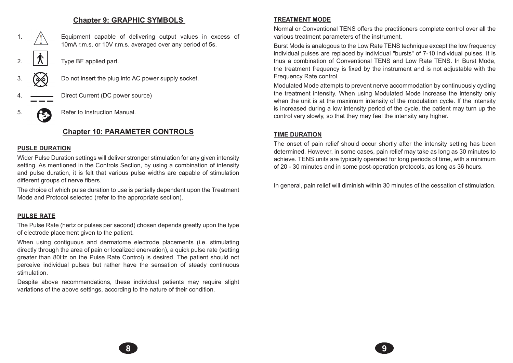## **Chapter 9: GRAPHIC SYMBOLS**



## **Chapter 10: PARAMETER CONTROLS**

### **PUSLE DURATION**

Wider Pulse Duration settings will deliver stronger stimulation for any given intensity setting. As mentioned in the Controls Section, by using a combination of intensity and pulse duration, it is felt that various pulse widths are capable of stimulation different groups of nerve fibers.

The choice of which pulse duration to use is partially dependent upon the Treatment Mode and Protocol selected (refer to the appropriate section).

### **PULSE RATE**

The Pulse Rate (hertz or pulses per second) chosen depends greatly upon the type of electrode placement given to the patient.

When using contiguous and dermatome electrode placements (i.e. stimulating directly through the area of pain or localized enervation), a quick pulse rate (setting greater than 80Hz on the Pulse Rate Control) is desired. The patient should not perceive individual pulses but rather have the sensation of steady continuous stimulation.

Despite above recommendations, these individual patients may require slight variations of the above settings, according to the nature of their condition.

## **TREATMENT MODE**

Normal or Conventional TENS offers the practitioners complete control over all the various treatment parameters of the instrument.

Burst Mode is analogous to the Low Rate TENS technique except the low frequency individual pulses are replaced by individual "bursts" of 7-10 individual pulses. It is thus a combination of Conventional TENS and Low Rate TENS. In Burst Mode, the treatment frequency is fixed by the instrument and is not adjustable with the Frequency Rate control.

Modulated Mode attempts to prevent nerve accommodation by continuously cycling the treatment intensity. When using Modulated Mode increase the intensity only when the unit is at the maximum intensity of the modulation cycle. If the intensity is increased during a low intensity period of the cycle, the patient may turn up the control very slowly, so that they may feel the intensity any higher.

### **TIME DURATION**

**8 9**

The onset of pain relief should occur shortly after the intensity setting has been determined. However, in some cases, pain relief may take as long as 30 minutes to achieve. TENS units are typically operated for long periods of time, with a minimum of 20 - 30 minutes and in some post-operation protocols, as long as 36 hours.

In general, pain relief will diminish within 30 minutes of the cessation of stimulation.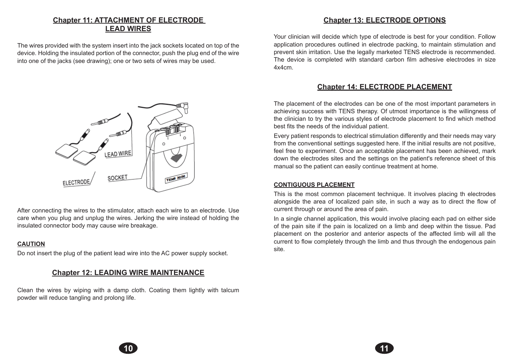# **Chapter 11: ATTACHMENT OF ELECTRODE LEAD WIRES**

The wires provided with the system insert into the jack sockets located on top of the device. Holding the insulated portion of the connector, push the plug end of the wire into one of the jacks (see drawing); one or two sets of wires may be used.



After connecting the wires to the stimulator, attach each wire to an electrode. Use care when you plug and unplug the wires. Jerking the wire instead of holding the insulated connector body may cause wire breakage.

### **CAUTION**

Do not insert the plug of the patient lead wire into the AC power supply socket.

## **Chapter 12: LEADING WIRE MAINTENANCE**

Clean the wires by wiping with a damp cloth. Coating them lightly with talcum powder will reduce tangling and prolong life.

## **Chapter 13: ELECTRODE OPTIONS**

Your clinician will decide which type of electrode is best for your condition. Follow application procedures outlined in electrode packing, to maintain stimulation and prevent skin irritation. Use the legally marketed TENS electrode is recommended. The device is completed with standard carbon film adhesive electrodes in size 4x4cm.

## **Chapter 14: ELECTRODE PLACEMENT**

The placement of the electrodes can be one of the most important parameters in achieving success with TENS therapy. Of utmost importance is the willingness of the clinician to try the various styles of electrode placement to find which method best fits the needs of the individual patient.

Every patient responds to electrical stimulation differently and their needs may vary from the conventional settings suggested here. If the initial results are not positive, feel free to experiment. Once an acceptable placement has been achieved, mark down the electrodes sites and the settings on the patient's reference sheet of this manual so the patient can easily continue treatment at home.

### **CONTIGUOUS PLACEMENT**

**10 11**

This is the most common placement technique. It involves placing th electrodes alongside the area of localized pain site, in such a way as to direct the flow of current through or around the area of pain.

In a single channel application, this would involve placing each pad on either side of the pain site if the pain is localized on a limb and deep within the tissue. Pad placement on the posterior and anterior aspects of the affected limb will all the current to flow completely through the limb and thus through the endogenous pain site.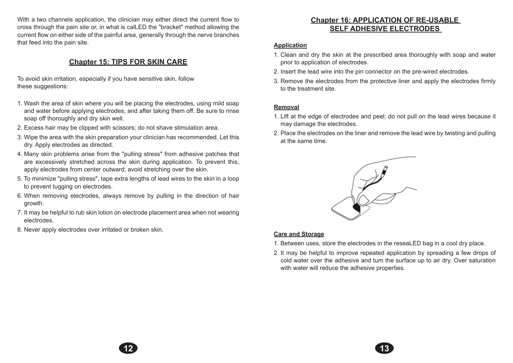With a two channels application, the clinician may either direct the current flow to cross through the pain site or, in what is calLED the "bracket" method allowing the current flow on either side of the painful area, generally through the nerve branches that feed into the pain site.

## **Chapter 15: TIPS FOR SKIN CARE**

To avoid skin irritation, especially if you have sensitive skin, follow these suggestions:

- 1. Wash the area of skin where you will be placing the electrodes, using mild soap and water before applying electrodes, and after taking them off. Be sure to rinse soap off thoroughly and dry skin well.
- 2. Excess hair may be clipped with scissors; do not shave stimulation area.
- 3. Wipe the area with the skin preparation your clinician has recommended. Let this dry. Apply electrodes as directed.
- 4. Many skin problems arise from the "pulling stress" from adhesive patches that are excessively stretched across the skin during application. To prevent this, apply electrodes from center outward; avoid stretching over the skin.
- 5. To minimize "pulling stress", tape extra lengths of lead wires to the skin in a loop to prevent tugging on electrodes.
- 6. When removing electrodes, always remove by pulling in the direction of hair growth.
- 7. It may be helpful to rub skin lotion on electrode placement area when not wearing electrodes.
- 8. Never apply electrodes over irritated or broken skin.

## **Chapter 16: APPLICATION OF RE-USABLE SELF ADHESIVE ELECTRODES**

### **Application**

- 1. Clean and dry the skin at the prescribed area thoroughly with soap and water prior to application of electrodes.
- 2. Insert the lead wire into the pin connector on the pre-wired electrodes.
- 3. Remove the electrodes from the protective liner and apply the electrodes firmly to the treatment site.

### **Removal**

- 1. Lift at the edge of electrodes and peel; do not pull on the lead wires because it may damage the electrodes.
- 2. Place the electrodes on the liner and remove the lead wire by twisting and pulling at the same time.



### **Care and Storage**

**12 13**

- 1. Between uses, store the electrodes in the reseaLED bag in a cool dry place.
- 2. It may be helpful to improve repeated application by spreading a few drops of cold water over the adhesive and tum the surface up to air dry. Over saturation with water will reduce the adhesive properties.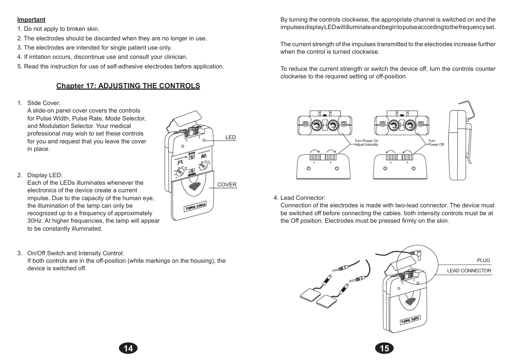### **Important**

- 1. Do not apply to broken skin.
- 2. The electrodes should be discarded when they are no longer in use.
- 3. The electrodes are intended for single patient use only.
- 4. If irritation occurs, discontinue use and consult your clinician.
- 5. Read the instruction for use of self-adhesive electrodes before application.

# **Chapter 17: ADJUSTING THE CONTROLS**

1. Slide Cover:

A slide-on panel cover covers the controls for Pulse Width, Pulse Rate, Mode Selector, and Modulation Selector. Your medical professional may wish to set these controls for you and request that you leave the cover in place.

2. Display LED:

Each of the LEDs illuminates whenever the electronics of the device create a current impulse. Due to the capacity of the human eye, the illumination of the lamp can only be recognized up to a frequency of approximately 30Hz. At higher frequencies, the lamp will appear to be constantly illuminated.

3. On/Off Switch and Intensity Control:

If both controls are in the off-position (white markings on the housing), the device is switched off.



 By turning the controls clockwise, the appropriate channel is switched on and the impulses display LED will illuminate and begin to pulse according to the frequency set.

 The current strength of the impulses transmitted to the electrodes increase further when the control is turned clockwise.

To reduce the current strength or switch the device off, turn the controls counter clockwise to the required setting or off-position.



4. Lead Connector:

Connection of the electrodes is made with two-lead connector. The device must be switched off before connecting the cables. both intensity controls must be at the Off position. Electrodes must be pressed firmly on the skin.

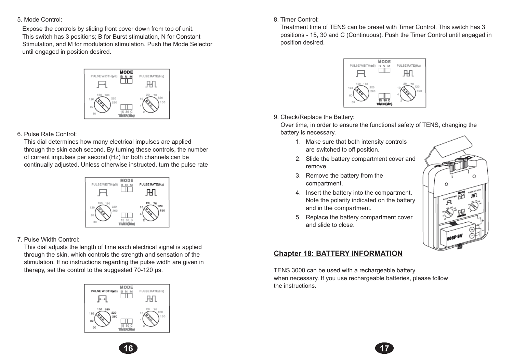5. Mode Control:

 Expose the controls by sliding front cover down from top of unit. This switch has 3 positions; B for Burst stimulation, N for Constant Stimulation, and M for modulation stimulation. Push the Mode Selector until engaged in position desired.



### 6. Pulse Rate Control:

This dial determines how many electrical impulses are applied through the skin each second. By turning these controls, the number of current impulses per second (Hz) for both channels can be continually adjusted. Unless otherwise instructed, turn the pulse rate

| PULSE WIDTH (arS)                           | MODE<br>B N M                   | PULSE RATE(Hz)<br>ΗЧ         |
|---------------------------------------------|---------------------------------|------------------------------|
| 150<br>180<br>220<br>120<br>260<br>80<br>30 | 30 C<br>15<br><b>TIMER(MIn)</b> | 20<br>70<br>120<br>10<br>150 |

### 7. Pulse Width Control:

This dial adjusts the length of time each electrical signal is applied through the skin, which controls the strength and sensation of the stimulation. If no instructions regarding the pulse width are given in therapy, set the control to the suggested 70-120 µs.



### 8. Timer Control:

Treatment time of TENS can be preset with Timer Control. This switch has 3 positions - 15, 30 and C (Continuous). Push the Timer Control until engaged in position desired.



### 9. Check/Replace the Battery:

Over time, in order to ensure the functional safety of TENS, changing the battery is necessary.

- 1. Make sure that both intensity controls are switched to off position.
- 2. Slide the battery compartment cover and remove.
- 3. Remove the battery from the compartment.
- 4. Insert the battery into the compartment. Note the polarity indicated on the battery and in the compartment.
- 5. Replace the battery compartment cover and slide to close.



## **Chapter 18: BATTERY INFORMATION**

**16 17**

TENS 3000 can be used with a rechargeable battery when necessary. If you use rechargeable batteries, please follow the instructions.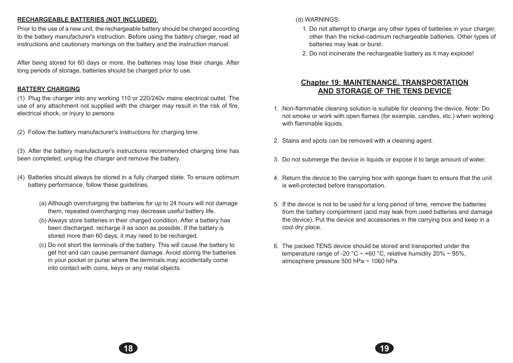### **RECHARGEABLE BATTERIES (NOT INCLUDED)**

Prior to the use of a new unit, the rechargeable battery should be charged according to the battery manufacturer's instruction. Before using the battery charger, read all instructions and cautionary markings on the battery and the instruction manual.

After being stored for 60 days or more, the batteries may lose their charge. After long periods of storage, batteries should be charged prior to use.

## **BATTERY CHARGING**

(1) Plug the charger into any working 110 or 220/240v mains electrical outlet. The use of any attachment not supplied with the charger may result in the risk of fire, electrical shock, or injury to persons.

(2) Follow the battery manufacturer's instructions for charging time.

(3) After the battery manufacturer's instructions recommended charging time has been completed, unplug the charger and remove the battery.

- (4) Batteries should always be stored in a fully charged state. To ensure optimum battery performance, follow these guidelines.
	- (a) Although overcharging the batteries for up to 24 hours will not damage them, repeated overcharging may decrease useful battery life.
	- (b) Always store batteries in their charged condition. After a battery has been discharged, recharge it as soon as possible. If the battery is stored more than 60 days, it may need to be recharged.
	- (c) Do not short the terminals of the battery. This will cause the battery to get hot and can cause permanent damage. Avoid storing the batteries in your pocket or purse where the terminals may accidentally come into contact with coins, keys or any metal objects.

(d) WARNINGS:

**18 19**

- 1. Do not attempt to charge any other types of batteries in your charger, other than the nickel-cadmium rechargeable batteries. Other types of batteries may leak or burst.
- 2. Do not incinerate the rechargeable battery as it may explode!

## **Chapter 19: MAINTENANCE, TRANSPORTATION AND STORAGE OF THE TENS DEVICE**

- 1. Non-flammable cleaning solution is suitable for cleaning the device. Note: Do not smoke or work with open flames (for example, candles, etc.) when working with flammable liquids.
- 2. Stains and spots can be removed with a cleaning agent.
- 3. Do not submerge the device in liquids or expose it to large amount of water.
- 4. Return the device to the carrying box with sponge foam to ensure that the unit is well-protected before transportation.
- 5. If the device is not to be used for a long period of time, remove the batteries from the battery compartment (acid may leak from used batteries and damage the device). Put the device and accessories in the carrying box and keep in a cool dry place.
- 6. The packed TENS device should be stored and transported under the temperature range of -20 °C  $\sim$  +60 °C, relative humidity 20%  $\sim$  95%. atmosphere pressure 500 hPa ~ 1060 hPa.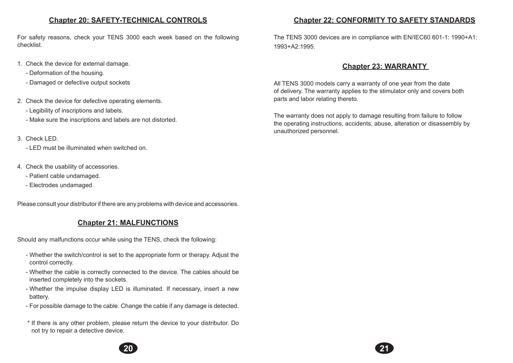## **Chapter 20: SAFETY-TECHNICAL CONTROLS**

For safety reasons, check your TENS 3000 each week based on the following checklist.

- 1. Check the device for external damage.
	- Deformation of the housing.
	- Damaged or defective output sockets
- 2. Check the device for defective operating elements.
	- Legibility of inscriptions and labels.
	- Make sure the inscriptions and labels are not distorted.
- 3. Check LED.
	- LED must be illuminated when switched on.
- 4. Check the usability of accessories.
	- Patient cable undamaged.
	- Electrodes undamaged.

Please consult your distributor if there are any problems with device and accessories.

# **Chapter 21: MALFUNCTIONS**

Should any malfunctions occur while using the TENS, check the following:

- Whether the switch/control is set to the appropriate form or therapy. Adjust the control correctly.
- Whether the cable is correctly connected to the device. The cables should be inserted completely into the sockets.
- Whether the impulse display LED is illuminated. If necessary, insert a new battery.
- For possible damage to the cable. Change the cable if any damage is detected.
- \* If there is any other problem, please return the device to your distributor. Do not try to repair a detective device.



The TENS 3000 devices are in compliance with EN/IEC60 601-1: 1990+A1: 1993+A2:1995.

# **Chapter 23: WARRANTY**

All TENS 3000 models carry a warranty of one year from the date of delivery. The warranty applies to the stimulator only and covers both parts and labor relating thereto.

The warranty does not apply to damage resulting from failure to follow the operating instructions, accidents, abuse, alteration or disassembly by unauthorized personnel.

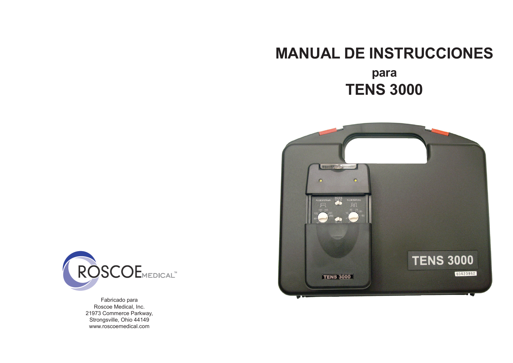# **MANUAL DE INSTRUCCIONES**

# **para TENS 3000**





Fabricado para Roscoe Medical, Inc. 21973 Commerce Parkway, Strongsville, Ohio 44149 www.roscoemedical.com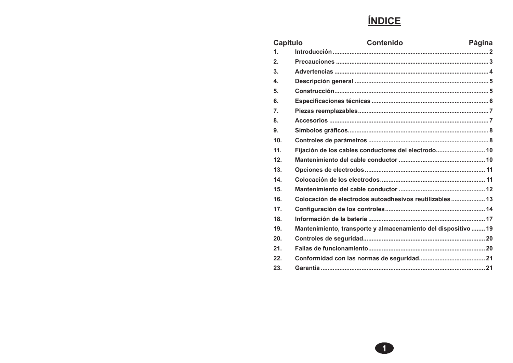# **ÍNDICE**

| Capítulo         | <b>Contenido</b>                                               | Página |
|------------------|----------------------------------------------------------------|--------|
| $\mathbf 1$ .    |                                                                |        |
| 2.               |                                                                |        |
| 3.               |                                                                |        |
| 4.               |                                                                |        |
| 5.               |                                                                |        |
| 6.               |                                                                |        |
| $\overline{7}$ . |                                                                |        |
| 8.               |                                                                |        |
| 9.               |                                                                |        |
| 10.              |                                                                |        |
| 11.              | Fijación de los cables conductores del electrodo 10            |        |
| 12.              |                                                                |        |
| 13.              |                                                                |        |
| 14.              |                                                                |        |
| 15.              |                                                                |        |
| 16.              | Colocación de electrodos autoadhesivos reutilizables 13        |        |
| 17.              |                                                                |        |
| 18.              |                                                                |        |
| 19.              | Mantenimiento, transporte y almacenamiento del dispositivo  19 |        |
| 20.              |                                                                |        |
| 21.              |                                                                |        |
| 22.              |                                                                |        |
| 23.              |                                                                |        |

 $\bullet$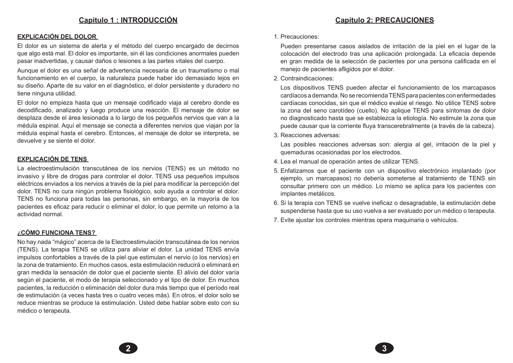## **Capítulo 2: PRECAUCIONES**

### **EXPLICACIÓN DEL DOLOR**

El dolor es un sistema de alerta y el método del cuerpo encargado de decirnos que algo está mal. El dolor es importante, sin él las condiciones anormales pueden pasar inadvertidas, y causar daños o lesiones a las partes vitales del cuerpo.

Aunque el dolor es una señal de advertencia necesaria de un traumatismo o mal funcionamiento en el cuerpo, la naturaleza puede haber ido demasiado lejos en su diseño. Aparte de su valor en el diagnóstico, el dolor persistente y duradero no tiene ninguna utilidad.

El dolor no empieza hasta que un mensaje codificado viaja al cerebro donde es decodificado, analizado y luego produce una reacción. El mensaje de dolor se desplaza desde el área lesionada a lo largo de los pequeños nervios que van a la médula espinal. Aquí el mensaje se conecta a diferentes nervios que viajan por la médula espinal hasta el cerebro. Entonces, el mensaje de dolor se interpreta, se devuelve y se siente el dolor.

### **EXPLICACIÓN DE TENS**

La electroestimulación transcutánea de los nervios (TENS) es un método no invasivo y libre de drogas para controlar el dolor. TENS usa pequeños impulsos eléctricos enviados a los nervios a través de la piel para modificar la percepción del dolor. TENS no cura ningún problema fisiológico, solo ayuda a controlar el dolor. TENS no funciona para todas las personas, sin embargo, en la mayoría de los pacientes es eficaz para reducir o eliminar el dolor, lo que permite un retorno a la actividad normal.

### **¿CÓMO FUNCIONA TENS?**

No hay nada "mágico" acerca de la Electroestimulación transcutánea de los nervios (TENS). La terapia TENS se utiliza para aliviar el dolor. La unidad TENS envía impulsos confortables a través de la piel que estimulan el nervio (o los nervios) en la zona de tratamiento. En muchos casos, esta estimulación reducirá o eliminará en gran medida la sensación de dolor que el paciente siente. El alivio del dolor varía según el paciente, el modo de terapia seleccionado y el tipo de dolor. En muchos pacientes, la reducción o eliminación del dolor dura más tiempo que el período real de estimulación (a veces hasta tres o cuatro veces más). En otros, el dolor solo se reduce mientras se produce la estimulación. Usted debe hablar sobre esto con su médico o terapeuta.

#### 1. Precauciones:

 Pueden presentarse casos aislados de irritación de la piel en el lugar de la colocación del electrodo tras una aplicación prolongada. La eficacia depende en gran medida de la selección de pacientes por una persona calificada en el manejo de pacientes afligidos por el dolor.

2. Contraindicaciones:

 Los dispositivos TENS pueden afectar el funcionamiento de los marcapasos cardíacos a demanda. No se recomienda TENS para pacientes con enfermedades cardíacas conocidas, sin que el médico evalúe el riesgo. No utilice TENS sobre la zona del seno carotídeo (cuello). No aplique TENS para síntomas de dolor no diagnosticado hasta que se establezca la etiología. No estimule la zona que puede causar que la corriente fluya transcerebralmente (a través de la cabeza).

3. Reacciones adversas:

**2 3**

 Las posibles reacciones adversas son: alergia al gel, irritación de la piel y quemaduras ocasionadas por los electrodos.

- 4. Lea el manual de operación antes de utilizar TENS.
- 5. Enfatizamos que el paciente con un dispositivo electrónico implantado (por ejemplo, un marcapasos) no debería someterse al tratamiento de TENS sin consultar primero con un médico. Lo mismo se aplica para los pacientes con implantes metálicos.
- 6. Si la terapia con TENS se vuelve ineficaz o desagradable, la estimulación debe suspenderse hasta que su uso vuelva a ser evaluado por un médico o terapeuta.
- 7. Evite ajustar los controles mientras opera maquinaria o vehículos.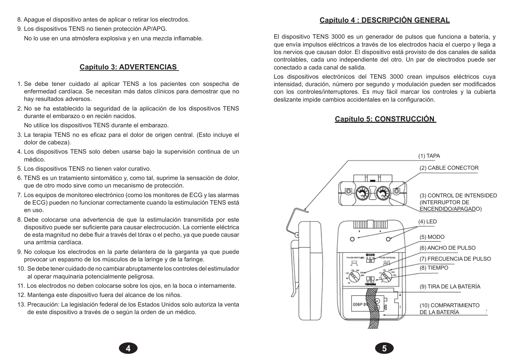- 8. Apague el dispositivo antes de aplicar o retirar los electrodos.
- 9. Los dispositivos TENS no tienen protección AP/APG. No lo use en una atmósfera explosiva y en una mezcla inflamable.

### **Capítulo 3: ADVERTENCIAS**

- 1. Se debe tener cuidado al aplicar TENS a los pacientes con sospecha de enfermedad cardíaca. Se necesitan más datos clínicos para demostrar que no hay resultados adversos.
- 2. No se ha establecido la seguridad de la aplicación de los dispositivos TENS durante el embarazo o en recién nacidos.

No utilice los dispositivos TENS durante el embarazo.

- 3. La terapia TENS no es eficaz para el dolor de origen central. (Esto incluye el dolor de cabeza).
- 4. Los dispositivos TENS solo deben usarse bajo la supervisión continua de un médico.
- 5. Los dispositivos TENS no tienen valor curativo.
- 6. TENS es un tratamiento sintomático y, como tal, suprime la sensación de dolor, que de otro modo sirve como un mecanismo de protección.
- 7. Los equipos de monitoreo electrónico (como los monitores de ECG y las alarmas de ECG) pueden no funcionar correctamente cuando la estimulación TENS está en uso.
- 8. Debe colocarse una advertencia de que la estimulación transmitida por este dispositivo puede ser suficiente para causar electrocución. La corriente eléctrica de esta magnitud no debe fluir a través del tórax o el pecho, ya que puede causar una arritmia cardíaca.
- 9. No coloque los electrodos en la parte delantera de la garganta ya que puede provocar un espasmo de los músculos de la laringe y de la faringe.
- 10. Se debe tener cuidado de no cambiar abruptamente los controles del estimulador al operar maquinaria potencialmente peligrosa.
- 11. Los electrodos no deben colocarse sobre los ojos, en la boca o internamente.
- 12. Mantenga este dispositivo fuera del alcance de los niños.
- 13. Precaución: La legislación federal de los Estados Unidos solo autoriza la venta de este dispositivo a través de o según la orden de un médico.

**4 5**

## **Capítulo 4 : DESCRIPCIÓN GENERAL**

El dispositivo TENS 3000 es un generador de pulsos que funciona a batería, y que envía impulsos eléctricos a través de los electrodos hacia el cuerpo y llega a los nervios que causan dolor. El dispositivo está provisto de dos canales de salida controlables, cada uno independiente del otro. Un par de electrodos puede ser conectado a cada canal de salida.

Los dispositivos electrónicos del TENS 3000 crean impulsos eléctricos cuya intensidad, duración, número por segundo y modulación pueden ser modificados con los controles/interruptores. Es muy fácil marcar los controles y la cubierta deslizante impide cambios accidentales en la configuración.

## **Capítulo 5: CONSTRUCCIÓN**

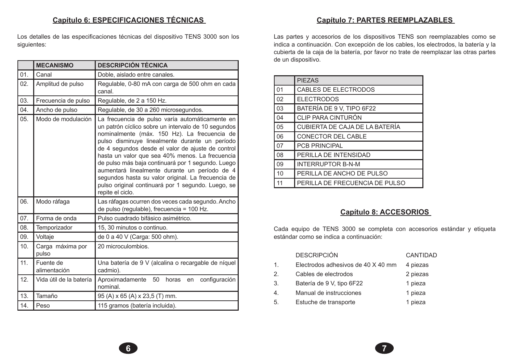## **Capítulo 6: ESPECIFICACIONES TÉCNICAS**

Los detalles de las especificaciones técnicas del dispositivo TENS 3000 son los siguientes:

|     | <b>MECANISMO</b>          | <b>DESCRIPCIÓN TÉCNICA</b>                                                                                                                                                                                                                                                                                                                                                                                                                                                                                                                             |  |  |
|-----|---------------------------|--------------------------------------------------------------------------------------------------------------------------------------------------------------------------------------------------------------------------------------------------------------------------------------------------------------------------------------------------------------------------------------------------------------------------------------------------------------------------------------------------------------------------------------------------------|--|--|
| 01. | Canal                     | Doble, aislado entre canales.                                                                                                                                                                                                                                                                                                                                                                                                                                                                                                                          |  |  |
| 02. | Amplitud de pulso         | Regulable, 0-80 mA con carga de 500 ohm en cada<br>canal.                                                                                                                                                                                                                                                                                                                                                                                                                                                                                              |  |  |
| 03. | Frecuencia de pulso       | Regulable, de 2 a 150 Hz.                                                                                                                                                                                                                                                                                                                                                                                                                                                                                                                              |  |  |
| 04. | Ancho de pulso            | Regulable, de 30 a 260 microsegundos.                                                                                                                                                                                                                                                                                                                                                                                                                                                                                                                  |  |  |
| 05. | Modo de modulación        | La frecuencia de pulso varía automáticamente en<br>un patrón cíclico sobre un intervalo de 10 segundos<br>nominalmente (máx. 150 Hz). La frecuencia de<br>pulso disminuye linealmente durante un período<br>de 4 segundos desde el valor de ajuste de control<br>hasta un valor que sea 40% menos. La frecuencia<br>de pulso más baja continuará por 1 segundo. Luego<br>aumentará linealmente durante un período de 4<br>segundos hasta su valor original. La frecuencia de<br>pulso original continuará por 1 segundo. Luego, se<br>repite el ciclo. |  |  |
| 06. | Modo ráfaga               | Las ráfagas ocurren dos veces cada segundo. Ancho<br>de pulso (regulable), frecuencia = 100 Hz.                                                                                                                                                                                                                                                                                                                                                                                                                                                        |  |  |
| 07. | Forma de onda             | Pulso cuadrado bifásico asimétrico.                                                                                                                                                                                                                                                                                                                                                                                                                                                                                                                    |  |  |
| 08. | Temporizador              | 15, 30 minutos o continuo.                                                                                                                                                                                                                                                                                                                                                                                                                                                                                                                             |  |  |
| 09. | Voltaje                   | de 0 a 40 V (Carga: 500 ohm).                                                                                                                                                                                                                                                                                                                                                                                                                                                                                                                          |  |  |
| 10. | Carga máxima por<br>pulso | 20 microculombios.                                                                                                                                                                                                                                                                                                                                                                                                                                                                                                                                     |  |  |
| 11. | Fuente de<br>alimentación | Una batería de 9 V (alcalina o recargable de níquel<br>cadmio).                                                                                                                                                                                                                                                                                                                                                                                                                                                                                        |  |  |
| 12. | Vida útil de la batería   | Aproximadamente<br>50<br>horas<br>configuración<br>en<br>nominal.                                                                                                                                                                                                                                                                                                                                                                                                                                                                                      |  |  |
| 13. | Tamaño                    | 95 (A) x 65 (A) x 23,5 (T) mm.                                                                                                                                                                                                                                                                                                                                                                                                                                                                                                                         |  |  |
| 14. | Peso                      | 115 gramos (batería incluida).                                                                                                                                                                                                                                                                                                                                                                                                                                                                                                                         |  |  |

**Capítulo 7: PARTES REEMPLAZABLES** 

Las partes y accesorios de los dispositivos TENS son reemplazables como se indica a continuación. Con excepción de los cables, los electrodos, la batería y la cubierta de la caja de la batería, por favor no trate de reemplazar las otras partes de un dispositivo.

|    | <b>PIEZAS</b>                         |
|----|---------------------------------------|
| 01 | <b>CABLES DE ELECTRODOS</b>           |
| 02 | <b>ELECTRODOS</b>                     |
| 03 | BATERÍA DE 9 V, TIPO 6F22             |
| 04 | CLIP PARA CINTURÓN                    |
| 05 | <b>CUBIERTA DE CAJA DE LA BATERÍA</b> |
| 06 | CONECTOR DEL CABLE                    |
| 07 | <b>PCB PRINCIPAL</b>                  |
| 08 | PERILLA DE INTENSIDAD                 |
| 09 | <b>INTERRUPTOR B-N-M</b>              |
| 10 | PERILLA DE ANCHO DE PULSO             |
| 11 | PERILLA DE FRECUENCIA DE PULSO        |

## **Capítulo 8: ACCESORIOS**

Cada equipo de TENS 3000 se completa con accesorios estándar y etiqueta estándar como se indica a continuación:

|    | <b>DESCRIPCIÓN</b>                 | CANTIDAD |
|----|------------------------------------|----------|
| 1. | Electrodos adhesivos de 40 X 40 mm | 4 piezas |
| 2. | Cables de electrodos               | 2 piezas |
| 3. | Batería de 9 V, tipo 6F22          | 1 pieza  |
| 4. | Manual de instrucciones            | 1 pieza  |
| 5. | Estuche de transporte              | 1 pieza  |
|    |                                    |          |

**6 7**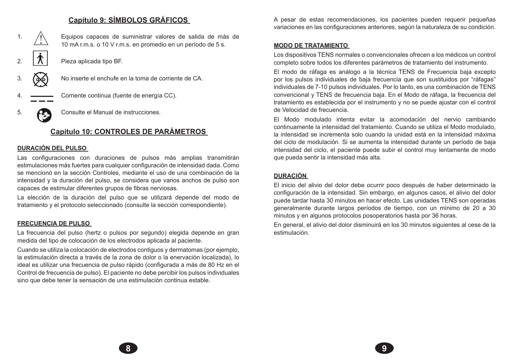## **Capítulo 9: SÍMBOLOS GRÁFICOS**

1.  $\sqrt{N}$  Equipos capaces de suministrar valores de salida de más de 10 mA r.m.s. o 10 V r.m.s. en promedio en un período de 5 s. 2.  $|\mathcal{X}|$  Pieza aplicada tipo BF. 3. No inserte el enchufe en la toma de corriente de CA. 4. Corriente continua (fuente de energía CC). 5. Consulte el Manual de instrucciones.

# **Capítulo 10: CONTROLES DE PARÁMETROS**

### **DURACIÓN DEL PULSO**

Las configuraciones con duraciones de pulsos más amplias transmitirán estimulaciones más fuertes para cualquier configuración de intensidad dada. Como se mencionó en la sección Controles, mediante el uso de una combinación de la intensidad y la duración del pulso, se considera que varios anchos de pulso son capaces de estimular diferentes grupos de fibras nerviosas.

La elección de la duración del pulso que se utilizará depende del modo de tratamiento y el protocolo seleccionado (consulte la sección correspondiente).

### **FRECUENCIA DE PULSO**

La frecuencia del pulso (hertz o pulsos por segundo) elegida depende en gran medida del tipo de colocación de los electrodos aplicada al paciente.

Cuando se utiliza la colocación de electrodos contiguos y dermatomas (por ejemplo, la estimulación directa a través de la zona de dolor o la enervación localizada), lo ideal es utilizar una frecuencia de pulso rápido (configurada a más de 80 Hz en el Control de frecuencia de pulso). El paciente no debe percibir los pulsos individuales sino que debe tener la sensación de una estimulación continua estable.

A pesar de estas recomendaciones, los pacientes pueden requerir pequeñas variaciones en las configuraciones anteriores, según la naturaleza de su condición.

### **MODO DE TRATAMIENTO**

Los dispositivos TENS normales o convencionales ofrecen a los médicos un control completo sobre todos los diferentes parámetros de tratamiento del instrumento.

El modo de ráfaga es análogo a la técnica TENS de Frecuencia baja excepto por los pulsos individuales de baja frecuencia que son sustituidos por "ráfagas" individuales de 7-10 pulsos individuales. Por lo tanto, es una combinación de TENS convencional y TENS de frecuencia baja. En el Modo de ráfaga, la frecuencia del tratamiento es establecida por el instrumento y no se puede ajustar con el control de Velocidad de frecuencia.

El Modo modulado intenta evitar la acomodación del nervio cambiando continuamente la intensidad del tratamiento. Cuando se utiliza el Modo modulado, la intensidad se incrementa solo cuando la unidad está en la intensidad máxima del ciclo de modulación. Si se aumenta la intensidad durante un período de baja intensidad del ciclo, el paciente puede subir el control muy lentamente de modo que pueda sentir la intensidad más alta.

### **DURACIÓN**

**8 9**

El inicio del alivio del dolor debe ocurrir poco después de haber determinado la configuración de la intensidad. Sin embargo, en algunos casos, el alivio del dolor puede tardar hasta 30 minutos en hacer efecto. Las unidades TENS son operadas generalmente durante largos períodos de tiempo, con un mínimo de 20 a 30 minutos y en algunos protocolos posoperatorios hasta por 36 horas.

En general, el alivio del dolor disminuirá en los 30 minutos siguientes al cese de la estimulación.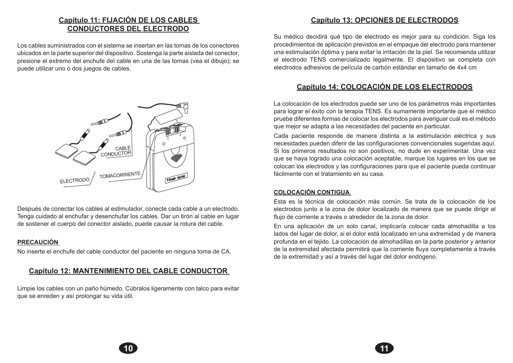# **Capítulo 11: FIJACIÓN DE LOS CABLES CONDUCTORES DEL ELECTRODO**

Los cables suministrados con el sistema se insertan en las tomas de los conectores ubicados en la parte superior del dispositivo. Sostenga la parte aislada del conector, presione el extremo del enchufe del cable en una de las tomas (vea el dibujo); se puede utilizar uno o dos juegos de cables.



Después de conectar los cables al estimulador, conecte cada cable a un electrodo. Tenga cuidado al enchufar y desenchufar los cables. Dar un tirón al cable en lugar de sostener el cuerpo del conector aislado, puede causar la rotura del cable.

### **PRECAUCIÓN**

No inserte el enchufe del cable conductor del paciente en ninguna toma de CA.

### **Capítulo 12: MANTENIMIENTO DEL CABLE CONDUCTOR**

Limpie los cables con un paño húmedo. Cúbralos ligeramente con talco para evitar que se enreden y así prolongar su vida útil.

# **Capítulo 13: OPCIONES DE ELECTRODOS**

Su médico decidirá qué tipo de electrodo es mejor para su condición. Siga los procedimientos de aplicación previstos en el empaque del electrodo para mantener una estimulación óptima y para evitar la irritación de la piel. Se recomienda utilizar el electrodo TENS comercializado legalmente. El dispositivo se completa con electrodos adhesivos de película de carbón estándar en tamaño de 4x4 cm

# **Capítulo 14: COLOCACIÓN DE LOS ELECTRODOS**

La colocación de los electrodos puede ser uno de los parámetros más importantes para lograr el éxito con la terapia TENS. Es sumamente importante que el médico pruebe diferentes formas de colocar los electrodos para averiguar cuál es el método que mejor se adapta a las necesidades del paciente en particular.

Cada paciente responde de manera distinta a la estimulación eléctrica y sus necesidades pueden diferir de las configuraciones convencionales sugeridas aquí. Si los primeros resultados no son positivos, no dude en experimentar. Una vez que se haya logrado una colocación aceptable, marque los lugares en los que se colocan los electrodos y las configuraciones para que el paciente pueda continuar fácilmente con el tratamiento en su casa.

### **COLOCACIÓN CONTIGUA**

**10 11**

Esta es la técnica de colocación más común. Se trata de la colocación de los electrodos junto a la zona de dolor localizado de manera que se puede dirigir el flujo de corriente a través o alrededor de la zona de dolor.

En una aplicación de un solo canal, implicaría colocar cada almohadilla a los lados del lugar de dolor, si el dolor está localizado en una extremidad y de manera profunda en el tejido. La colocación de almohadillas en la parte posterior y anterior de la extremidad afectada permitirá que la corriente fluya completamente a través de la extremidad y así a través del lugar del dolor endógeno.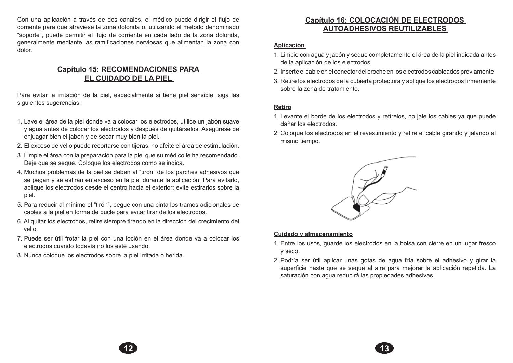Con una aplicación a través de dos canales, el médico puede dirigir el flujo de corriente para que atraviese la zona dolorida o, utilizando el método denominado "soporte", puede permitir el flujo de corriente en cada lado de la zona dolorida, generalmente mediante las ramificaciones nerviosas que alimentan la zona con dolor.

## **Capítulo 15: RECOMENDACIONES PARA EL CUIDADO DE LA PIEL**

Para evitar la irritación de la piel, especialmente si tiene piel sensible, siga las siguientes sugerencias:

- 1. Lave el área de la piel donde va a colocar los electrodos, utilice un jabón suave y agua antes de colocar los electrodos y después de quitárselos. Asegúrese de enjuagar bien el jabón y de secar muy bien la piel.
- 2. El exceso de vello puede recortarse con tijeras, no afeite el área de estimulación.
- 3. Limpie el área con la preparación para la piel que su médico le ha recomendado. Deje que se seque. Coloque los electrodos como se indica.
- 4. Muchos problemas de la piel se deben al "tirón" de los parches adhesivos que se pegan y se estiran en exceso en la piel durante la aplicación. Para evitarlo, aplique los electrodos desde el centro hacia el exterior; evite estirarlos sobre la piel.
- 5. Para reducir al mínimo el "tirón", pegue con una cinta los tramos adicionales de cables a la piel en forma de bucle para evitar tirar de los electrodos.
- 6. Al quitar los electrodos, retire siempre tirando en la dirección del crecimiento del vello.
- 7. Puede ser útil frotar la piel con una loción en el área donde va a colocar los electrodos cuando todavía no los esté usando.
- 8. Nunca coloque los electrodos sobre la piel irritada o herida.

# **Capítulo 16: COLOCACIÓN DE ELECTRODOS AUTOADHESIVOS REUTILIZABLES**

### **Aplicación**

- 1. Limpie con agua y jabón y seque completamente el área de la piel indicada antes de la aplicación de los electrodos.
- 2. Inserte el cable en el conector del broche en los electrodos cableados previamente.
- 3. Retire los electrodos de la cubierta protectora y aplique los electrodos firmemente sobre la zona de tratamiento.

### **Retiro**

**12 13**

- 1. Levante el borde de los electrodos y retírelos, no jale los cables ya que puede dañar los electrodos.
- 2. Coloque los electrodos en el revestimiento y retire el cable girando y jalando al mismo tiempo.



### **Cuidado y almacenamiento**

- 1. Entre los usos, guarde los electrodos en la bolsa con cierre en un lugar fresco y seco.
- 2. Podría ser útil aplicar unas gotas de agua fría sobre el adhesivo y girar la superficie hasta que se seque al aire para mejorar la aplicación repetida. La saturación con agua reducirá las propiedades adhesivas.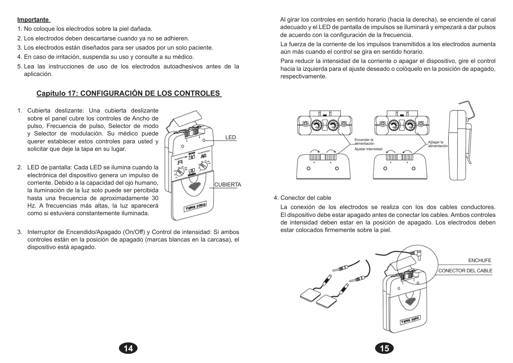### **Importante**

- 1. No coloque los electrodos sobre la piel dañada.
- 2. Los electrodos deben descartarse cuando ya no se adhieren.
- 3. Los electrodos están diseñados para ser usados por un solo paciente.
- 4. En caso de irritación, suspenda su uso y consulte a su médico.
- 5. Lea las instrucciones de uso de los electrodos autoadhesivos antes de la aplicación.

# **Capítulo 17: CONFIGURACIÓN DE LOS CONTROLES**

- 1. Cubierta deslizante: Una cubierta deslizante sobre el panel cubre los controles de Ancho de pulso, Frecuencia de pulso, Selector de modo y Selector de modulación. Su médico puede querer establecer estos controles para usted y solicitar que deje la tapa en su lugar.
- 2. LED de pantalla: Cada LED se ilumina cuando la electrónica del dispositivo genera un impulso de corriente. Debido a la capacidad del ojo humano, la iluminación de la luz solo puede ser percibida hasta una frecuencia de aproximadamente 30 Hz. A frecuencias más altas, la luz aparecerá como si estuviera constantemente iluminada.
- 3. Interruptor de Encendido/Apagado (On/Off) y Control de intensidad: Si ambos controles están en la posición de apagado (marcas blancas en la carcasa), el dispositivo está apagado.



 Al girar los controles en sentido horario (hacia la derecha), se enciende el canal adecuado y el LED de pantalla de impulsos se iluminará y empezará a dar pulsos de acuerdo con la configuración de la frecuencia.

 La fuerza de la corriente de los impulsos transmitidos a los electrodos aumenta aún más cuando el control se gira en sentido horario.

 Para reducir la intensidad de la corriente o apagar el dispositivo, gire el control hacia la izquierda para el ajuste deseado o colóquelo en la posición de apagado, respectivamente.



### 4. Conector del cable

 La conexión de los electrodos se realiza con los dos cables conductores. El dispositivo debe estar apagado antes de conectar los cables. Ambos controles de intensidad deben estar en la posición de apagado. Los electrodos deben estar colocados firmemente sobre la piel.

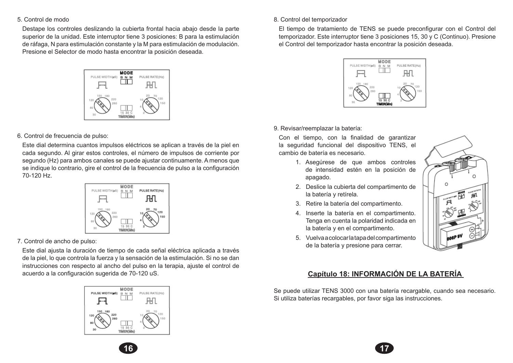#### 5. Control de modo

 Destape los controles deslizando la cubierta frontal hacia abajo desde la parte superior de la unidad. Este interruptor tiene 3 posiciones: B para la estimulación de ráfaga, N para estimulación constante y la M para estimulación de modulación. Presione el Selector de modo hasta encontrar la posición deseada.



### 6. Control de frecuencia de pulso:

 Este dial determina cuantos impulsos eléctricos se aplican a través de la piel en cada segundo. Al girar estos controles, el número de impulsos de corriente por segundo (Hz) para ambos canales se puede ajustar continuamente. A menos que se indique lo contrario, gire el control de la frecuencia de pulso a la configuración 70-120 Hz.



7. Control de ancho de pulso:

 Este dial ajusta la duración de tiempo de cada señal eléctrica aplicada a través de la piel, lo que controla la fuerza y la sensación de la estimulación. Si no se dan instrucciones con respecto al ancho del pulso en la terapia, ajuste el control de acuerdo a la configuración sugerida de 70-120 uS.



### 8. Control del temporizador

 El tiempo de tratamiento de TENS se puede preconfigurar con el Control del temporizador. Este interruptor tiene 3 posiciones 15, 30 y C (Continuo). Presione el Control del temporizador hasta encontrar la posición deseada.



### 9. Revisar/reemplazar la batería:

**16 17**

 Con el tiempo, con la finalidad de garantizar la seguridad funcional del dispositivo TENS, el cambio de batería es necesario.

- 1. Asegúrese de que ambos controles de intensidad estén en la posición de apagado.
- 2. Deslice la cubierta del compartimento de la batería y retírela.
- 3. Retire la batería del compartimento.
- 4. Inserte la batería en el compartimento. Tenga en cuenta la polaridad indicada en la batería y en el compartimento.
- 5. Vuelva a colocar la tapa del compartimento de la batería y presione para cerrar.



## **Capítulo 18: INFORMACIÓN DE LA BATERÍA**

Se puede utilizar TENS 3000 con una batería recargable, cuando sea necesario. Si utiliza baterías recargables, por favor siga las instrucciones.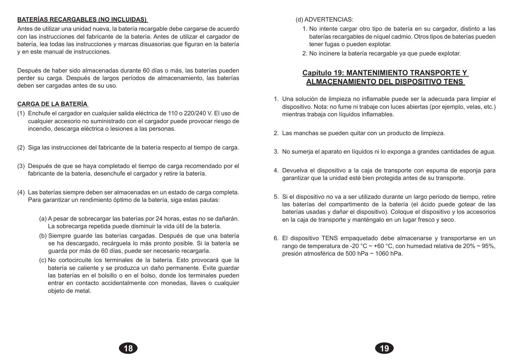### **BATERÍAS RECARGABLES (NO INCLUIDAS)**

Antes de utilizar una unidad nueva, la batería recargable debe cargarse de acuerdo con las instrucciones del fabricante de la batería. Antes de utilizar el cargador de batería, lea todas las instrucciones y marcas disuasorias que figuran en la batería y en este manual de instrucciones.

Después de haber sido almacenadas durante 60 días o más, las baterías pueden perder su carga. Después de largos períodos de almacenamiento, las baterías deben ser cargadas antes de su uso.

## **CARGA DE LA BATERÍA**

- (1) Enchufe el cargador en cualquier salida eléctrica de 110 o 220/240 V. El uso de cualquier accesorio no suministrado con el cargador puede provocar riesgo de incendio, descarga eléctrica o lesiones a las personas.
- (2) Siga las instrucciones del fabricante de la batería respecto al tiempo de carga.
- (3) Después de que se haya completado el tiempo de carga recomendado por el fabricante de la batería, desenchufe el cargador y retire la batería.
- (4) Las baterías siempre deben ser almacenadas en un estado de carga completa. Para garantizar un rendimiento óptimo de la batería, siga estas pautas:
	- (a) A pesar de sobrecargar las baterías por 24 horas, estas no se dañarán. La sobrecarga repetida puede disminuir la vida útil de la batería.
	- (b) Siempre guarde las baterías cargadas. Después de que una batería se ha descargado, recárguela lo más pronto posible. Si la batería se guarda por más de 60 días, puede ser necesario recargarla.
	- (c) No cortocircuite los terminales de la batería. Esto provocará que la batería se caliente y se produzca un daño permanente. Evite guardar las baterías en el bolsillo o en el bolso, donde los terminales pueden entrar en contacto accidentalmente con monedas, llaves o cualquier objeto de metal.

**18 19**

- (d) ADVERTENCIAS:
	- 1. No intente cargar otro tipo de batería en su cargador, distinto a las baterías recargables de níquel cadmio. Otros tipos de baterías pueden tener fugas o pueden explotar.
	- 2. No incinere la batería recargable ya que puede explotar.

## **Capítulo 19: MANTENIMIENTO TRANSPORTE Y ALMACENAMIENTO DEL DISPOSITIVO TENS**

- 1. Una solución de limpieza no inflamable puede ser la adecuada para limpiar el dispositivo. Nota: no fume ni trabaje con luces abiertas (por ejemplo, velas, etc.) mientras trabaja con líquidos inflamables.
- 2. Las manchas se pueden quitar con un producto de limpieza.
- 3. No sumerja el aparato en líquidos ni lo exponga a grandes cantidades de agua.
- 4. Devuelva el dispositivo a la caja de transporte con espuma de esponja para garantizar que la unidad esté bien protegida antes de su transporte.
- 5. Si el dispositivo no va a ser utilizado durante un largo período de tiempo, retire las baterías del compartimento de la batería (el ácido puede gotear de las baterías usadas y dañar el dispositivo). Coloque el dispositivo y los accesorios en la caja de transporte y manténgalo en un lugar fresco y seco.
- 6. El dispositivo TENS empaquetado debe almacenarse y transportarse en un rango de temperatura de -20 °C ~ +60 °C, con humedad relativa de 20% ~ 95%, presión atmosférica de 500 hPa ~ 1060 hPa.